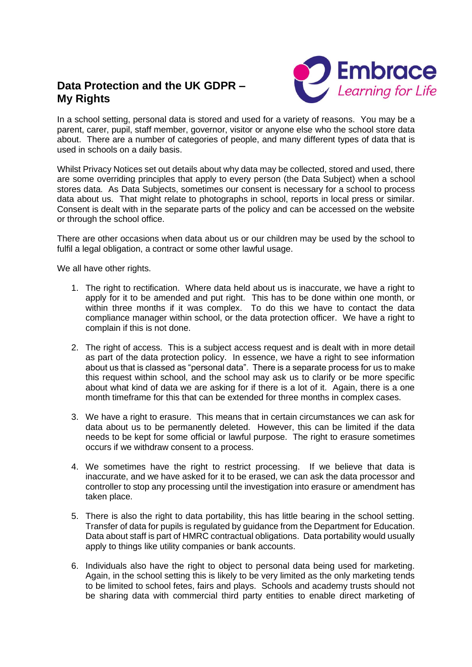## **Data Protection and the UK GDPR – My Rights**



In a school setting, personal data is stored and used for a variety of reasons. You may be a parent, carer, pupil, staff member, governor, visitor or anyone else who the school store data about. There are a number of categories of people, and many different types of data that is used in schools on a daily basis.

Whilst Privacy Notices set out details about why data may be collected, stored and used, there are some overriding principles that apply to every person (the Data Subject) when a school stores data. As Data Subjects, sometimes our consent is necessary for a school to process data about us. That might relate to photographs in school, reports in local press or similar. Consent is dealt with in the separate parts of the policy and can be accessed on the website or through the school office.

There are other occasions when data about us or our children may be used by the school to fulfil a legal obligation, a contract or some other lawful usage.

We all have other rights.

- 1. The right to rectification. Where data held about us is inaccurate, we have a right to apply for it to be amended and put right. This has to be done within one month, or within three months if it was complex. To do this we have to contact the data compliance manager within school, or the data protection officer. We have a right to complain if this is not done.
- 2. The right of access. This is a subject access request and is dealt with in more detail as part of the data protection policy. In essence, we have a right to see information about us that is classed as "personal data". There is a separate process for us to make this request within school, and the school may ask us to clarify or be more specific about what kind of data we are asking for if there is a lot of it. Again, there is a one month timeframe for this that can be extended for three months in complex cases.
- 3. We have a right to erasure. This means that in certain circumstances we can ask for data about us to be permanently deleted. However, this can be limited if the data needs to be kept for some official or lawful purpose. The right to erasure sometimes occurs if we withdraw consent to a process.
- 4. We sometimes have the right to restrict processing. If we believe that data is inaccurate, and we have asked for it to be erased, we can ask the data processor and controller to stop any processing until the investigation into erasure or amendment has taken place.
- 5. There is also the right to data portability, this has little bearing in the school setting. Transfer of data for pupils is regulated by guidance from the Department for Education. Data about staff is part of HMRC contractual obligations. Data portability would usually apply to things like utility companies or bank accounts.
- 6. Individuals also have the right to object to personal data being used for marketing. Again, in the school setting this is likely to be very limited as the only marketing tends to be limited to school fetes, fairs and plays. Schools and academy trusts should not be sharing data with commercial third party entities to enable direct marketing of